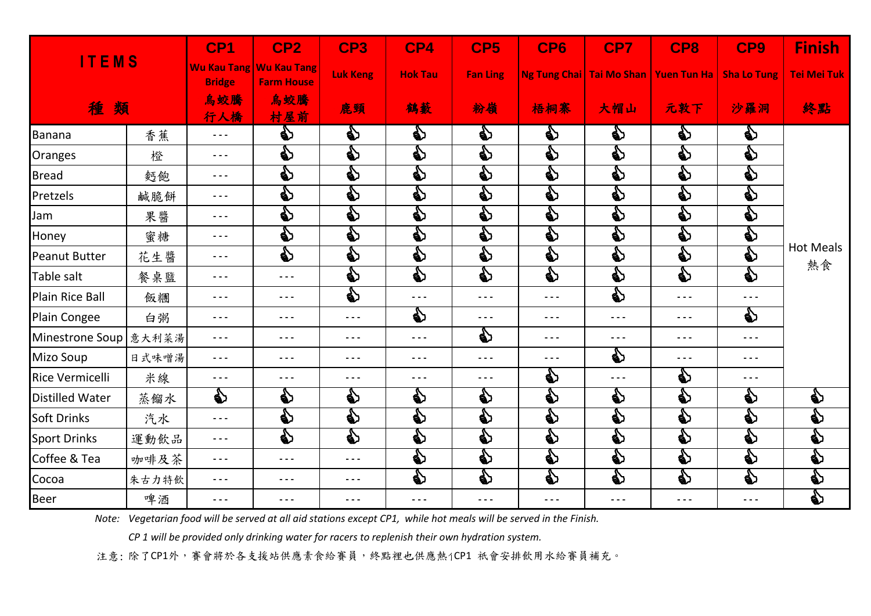| <b>ITEMS</b><br>種類     |       | CP <sub>1</sub>             | CP <sub>2</sub><br>Wu Kau Tang Wu Kau Tang                                                                                                                                                                                                                                                                                                                                                   | CP3<br><b>Luk Keng</b> | CP4<br><b>Hok Tau</b> | CP <sub>5</sub><br><b>Fan Ling</b> | CP6                                                                                                                                                                                                                                    | CP7                      | CP8<br>Ng Tung Chai   Tai Mo Shan   Yuen Tun Ha                                                                                                                                                                                                                                                                                                                                              | CP9<br><b>Sha Lo Tung</b>                                                                                                                                                                                                                                                                                                                                                                    | <b>Finish</b><br><b>Tei Mei Tuk</b>                                                                                                                                                                                                     |
|------------------------|-------|-----------------------------|----------------------------------------------------------------------------------------------------------------------------------------------------------------------------------------------------------------------------------------------------------------------------------------------------------------------------------------------------------------------------------------------|------------------------|-----------------------|------------------------------------|----------------------------------------------------------------------------------------------------------------------------------------------------------------------------------------------------------------------------------------|--------------------------|----------------------------------------------------------------------------------------------------------------------------------------------------------------------------------------------------------------------------------------------------------------------------------------------------------------------------------------------------------------------------------------------|----------------------------------------------------------------------------------------------------------------------------------------------------------------------------------------------------------------------------------------------------------------------------------------------------------------------------------------------------------------------------------------------|-----------------------------------------------------------------------------------------------------------------------------------------------------------------------------------------------------------------------------------------|
|                        |       | <b>Bridge</b><br>烏蛟騰<br>行人橋 | <b>Farm House</b><br>烏蛟騰<br>村屋前                                                                                                                                                                                                                                                                                                                                                              | 鹿頸                     | 鶴藪                    | 粉嶺                                 | 梧桐寨                                                                                                                                                                                                                                    | 大帽山                      | 元敦下                                                                                                                                                                                                                                                                                                                                                                                          | 沙羅洞                                                                                                                                                                                                                                                                                                                                                                                          | 終點                                                                                                                                                                                                                                      |
| Banana                 | 香蕉    | $\sim$ $\sim$ $\sim$        | ♦                                                                                                                                                                                                                                                                                                                                                                                            | ♦                      | ♦                     | ♦                                  | ♦                                                                                                                                                                                                                                      | ♦                        | ♦                                                                                                                                                                                                                                                                                                                                                                                            | ♦                                                                                                                                                                                                                                                                                                                                                                                            |                                                                                                                                                                                                                                         |
| Oranges                | 橙     | $\sim$ $\sim$ $\sim$        | B                                                                                                                                                                                                                                                                                                                                                                                            | D                      | S                     | D                                  | e)                                                                                                                                                                                                                                     | $\mathbf{\mathbf{\Phi}}$ | S                                                                                                                                                                                                                                                                                                                                                                                            | D                                                                                                                                                                                                                                                                                                                                                                                            |                                                                                                                                                                                                                                         |
| <b>Bread</b>           | 麪飽    | $\sim$ $\sim$ $\sim$        | D                                                                                                                                                                                                                                                                                                                                                                                            | D                      | D                     | D                                  | D                                                                                                                                                                                                                                      | $\mathbf{\mathbf{\Phi}}$ | D                                                                                                                                                                                                                                                                                                                                                                                            | D                                                                                                                                                                                                                                                                                                                                                                                            | <b>Hot Meals</b><br>熱食                                                                                                                                                                                                                  |
| Pretzels               | 鹹脆餅   | $\sim$ $\sim$ $\sim$        | D                                                                                                                                                                                                                                                                                                                                                                                            | $\mathbf{\mathcal{E}}$ | D                     | D                                  | es<br>Porto de la composición de la composición de la composición de la composición de la composición de la compo<br>De la composición de la composición de la composición de la composición de la composición de la composición<br>De | S                        | $\clubsuit$                                                                                                                                                                                                                                                                                                                                                                                  | D                                                                                                                                                                                                                                                                                                                                                                                            |                                                                                                                                                                                                                                         |
| Jam                    | 果醬    | $\sim$ $\sim$ $\sim$        | e)                                                                                                                                                                                                                                                                                                                                                                                           | e)                     | D                     | D                                  | e)                                                                                                                                                                                                                                     | e)                       | D                                                                                                                                                                                                                                                                                                                                                                                            | e)                                                                                                                                                                                                                                                                                                                                                                                           |                                                                                                                                                                                                                                         |
| Honey                  | 蜜糖    | $\sim$ $\sim$ $\sim$        | e)                                                                                                                                                                                                                                                                                                                                                                                           | భి                     | D                     | D                                  | ♦                                                                                                                                                                                                                                      | భి                       | D                                                                                                                                                                                                                                                                                                                                                                                            | es<br>Porto de la composición de la composición de la composición de la composición de la composición de la compo<br>De la composición de la composición de la composición de la composición de la composición de la composición<br>De                                                                                                                                                       |                                                                                                                                                                                                                                         |
| <b>Peanut Butter</b>   | 花生醬   | $- - -$                     | D                                                                                                                                                                                                                                                                                                                                                                                            | ♦                      | D                     | D                                  | ♦                                                                                                                                                                                                                                      | D                        | S                                                                                                                                                                                                                                                                                                                                                                                            | S                                                                                                                                                                                                                                                                                                                                                                                            |                                                                                                                                                                                                                                         |
| Table salt             | 餐桌盬   | $\sim$ $\sim$ $\sim$        | $\sim$ $\sim$ $\sim$                                                                                                                                                                                                                                                                                                                                                                         | భి                     | D                     | D                                  | D                                                                                                                                                                                                                                      | $\mathbf{\mathbf{\Phi}}$ | D                                                                                                                                                                                                                                                                                                                                                                                            | D                                                                                                                                                                                                                                                                                                                                                                                            |                                                                                                                                                                                                                                         |
| <b>Plain Rice Ball</b> | 飯糰    | $- - -$                     | $\sim$ $\sim$ $\sim$                                                                                                                                                                                                                                                                                                                                                                         | $\mathbf{S}$           | $- - -$               | $- - -$                            | $- - -$                                                                                                                                                                                                                                | $\mathbf{\mathbf{\Phi}}$ | $- - -$                                                                                                                                                                                                                                                                                                                                                                                      | $\sim$ $\sim$ $\sim$                                                                                                                                                                                                                                                                                                                                                                         |                                                                                                                                                                                                                                         |
| Plain Congee           | 白粥    | $\sim$ $\sim$ $\sim$        | $\sim$ $\sim$ $\sim$                                                                                                                                                                                                                                                                                                                                                                         | $- - -$                | 的                     | $- - -$                            | $- - -$                                                                                                                                                                                                                                | $\sim$ $\sim$ $\sim$     | $\frac{1}{2} \frac{1}{2} \frac{1}{2} \frac{1}{2} \frac{1}{2} \frac{1}{2} \frac{1}{2} \frac{1}{2} \frac{1}{2} \frac{1}{2} \frac{1}{2} \frac{1}{2} \frac{1}{2} \frac{1}{2} \frac{1}{2} \frac{1}{2} \frac{1}{2} \frac{1}{2} \frac{1}{2} \frac{1}{2} \frac{1}{2} \frac{1}{2} \frac{1}{2} \frac{1}{2} \frac{1}{2} \frac{1}{2} \frac{1}{2} \frac{1}{2} \frac{1}{2} \frac{1}{2} \frac{1}{2} \frac{$ | €                                                                                                                                                                                                                                                                                                                                                                                            |                                                                                                                                                                                                                                         |
| Minestrone Soup        | 意大利菜湯 | $\sim$ $\sim$ $\sim$        | $\sim$ $\sim$ $\sim$                                                                                                                                                                                                                                                                                                                                                                         | $- - -$                | $- - -$               | e)                                 | $  -$                                                                                                                                                                                                                                  | $\sim$ $\sim$ $\sim$     | $\sim$ $\sim$ $\sim$                                                                                                                                                                                                                                                                                                                                                                         | $- - -$                                                                                                                                                                                                                                                                                                                                                                                      |                                                                                                                                                                                                                                         |
| <b>Mizo Soup</b>       | 日式味噌湯 | $\sim$ $\sim$ $\sim$        | $\sim$ $\sim$ $\sim$                                                                                                                                                                                                                                                                                                                                                                         | $\sim$ $\sim$ $\sim$   | $- - -$               | $- - -$                            | $- - -$                                                                                                                                                                                                                                | ♦                        | $\sim$ $\sim$ $\sim$                                                                                                                                                                                                                                                                                                                                                                         | $\frac{1}{2} \frac{1}{2} \frac{1}{2} \frac{1}{2} \frac{1}{2} \frac{1}{2} \frac{1}{2} \frac{1}{2} \frac{1}{2} \frac{1}{2} \frac{1}{2} \frac{1}{2} \frac{1}{2} \frac{1}{2} \frac{1}{2} \frac{1}{2} \frac{1}{2} \frac{1}{2} \frac{1}{2} \frac{1}{2} \frac{1}{2} \frac{1}{2} \frac{1}{2} \frac{1}{2} \frac{1}{2} \frac{1}{2} \frac{1}{2} \frac{1}{2} \frac{1}{2} \frac{1}{2} \frac{1}{2} \frac{$ |                                                                                                                                                                                                                                         |
| <b>Rice Vermicelli</b> | 米線    | $- - -$                     | $- - -$                                                                                                                                                                                                                                                                                                                                                                                      | $- - -$                | $- - -$               | - - -                              | ♦                                                                                                                                                                                                                                      | $- - -$                  | ♦                                                                                                                                                                                                                                                                                                                                                                                            | $\sim$ $\sim$ $\sim$                                                                                                                                                                                                                                                                                                                                                                         |                                                                                                                                                                                                                                         |
| <b>Distilled Water</b> | 蒸餾水   | ♦                           | ♦                                                                                                                                                                                                                                                                                                                                                                                            | ♦                      | €                     | 的                                  | e)                                                                                                                                                                                                                                     | ♦                        | D                                                                                                                                                                                                                                                                                                                                                                                            | ♦                                                                                                                                                                                                                                                                                                                                                                                            | €                                                                                                                                                                                                                                       |
| <b>Soft Drinks</b>     | 汽水    | $\sim$ $\sim$ $\sim$        | e)                                                                                                                                                                                                                                                                                                                                                                                           | e)                     | ₿                     | €                                  | ♦                                                                                                                                                                                                                                      | e)                       | D                                                                                                                                                                                                                                                                                                                                                                                            | e)                                                                                                                                                                                                                                                                                                                                                                                           | es<br>Porto de la compaña de la compaña de la compaña de la compaña de la compaña de la compaña de la compaña de<br>Disponenti de la compaña de la compaña de la compaña de la compaña de la compaña de la compaña de la compaña d<br>p |
| <b>Sport Drinks</b>    | 運動飲品  | $\sim$ $\sim$ $\sim$        | D                                                                                                                                                                                                                                                                                                                                                                                            | $\mathbf{S}$           | D                     | S                                  | D                                                                                                                                                                                                                                      | S                        | S                                                                                                                                                                                                                                                                                                                                                                                            | D                                                                                                                                                                                                                                                                                                                                                                                            | D                                                                                                                                                                                                                                       |
| Coffee & Tea           | 咖啡及茶  | $\sim$ $\sim$ $\sim$        | $\sim$ $\sim$ $\sim$                                                                                                                                                                                                                                                                                                                                                                         | $\sim$ $\sim$ $\sim$   | ♦                     | S                                  | e)                                                                                                                                                                                                                                     | $\mathbf{\mathbf{\Phi}}$ | D                                                                                                                                                                                                                                                                                                                                                                                            | భి                                                                                                                                                                                                                                                                                                                                                                                           | ♦                                                                                                                                                                                                                                       |
| Cocoa                  | 朱古力特飲 | $\sim$ $\sim$ $\sim$        | $\frac{1}{2} \frac{1}{2} \frac{1}{2} \frac{1}{2} \frac{1}{2} \frac{1}{2} \frac{1}{2} \frac{1}{2} \frac{1}{2} \frac{1}{2} \frac{1}{2} \frac{1}{2} \frac{1}{2} \frac{1}{2} \frac{1}{2} \frac{1}{2} \frac{1}{2} \frac{1}{2} \frac{1}{2} \frac{1}{2} \frac{1}{2} \frac{1}{2} \frac{1}{2} \frac{1}{2} \frac{1}{2} \frac{1}{2} \frac{1}{2} \frac{1}{2} \frac{1}{2} \frac{1}{2} \frac{1}{2} \frac{$ | $\sim$ $\sim$ $\sim$   | S                     | D                                  | D                                                                                                                                                                                                                                      | $\mathbf{\mathbf{\Phi}}$ | S                                                                                                                                                                                                                                                                                                                                                                                            | D                                                                                                                                                                                                                                                                                                                                                                                            | S                                                                                                                                                                                                                                       |
| <b>Beer</b>            | 啤酒    | $\sim$ $\sim$ $\sim$        | $- - -$                                                                                                                                                                                                                                                                                                                                                                                      | $\frac{1}{2}$          | $- - -$               | $- - -$                            | $- - -$                                                                                                                                                                                                                                | $\sim$ $\sim$ $\sim$     | $- - -$                                                                                                                                                                                                                                                                                                                                                                                      | $\sim$ $\sim$ $\sim$                                                                                                                                                                                                                                                                                                                                                                         | S                                                                                                                                                                                                                                       |

*Note: Vegetarian food will be served at all aid stations except CP1, while hot meals will be served in the Finish.* 

*CP 1 will be provided only drinking water for racers to replenish their own hydration system.* 

注意: 除了CP1外,賽會將於各支援站供應素食給賽員,終點裡也供應熱1CP1 祇會安排飲用水給賽員補充。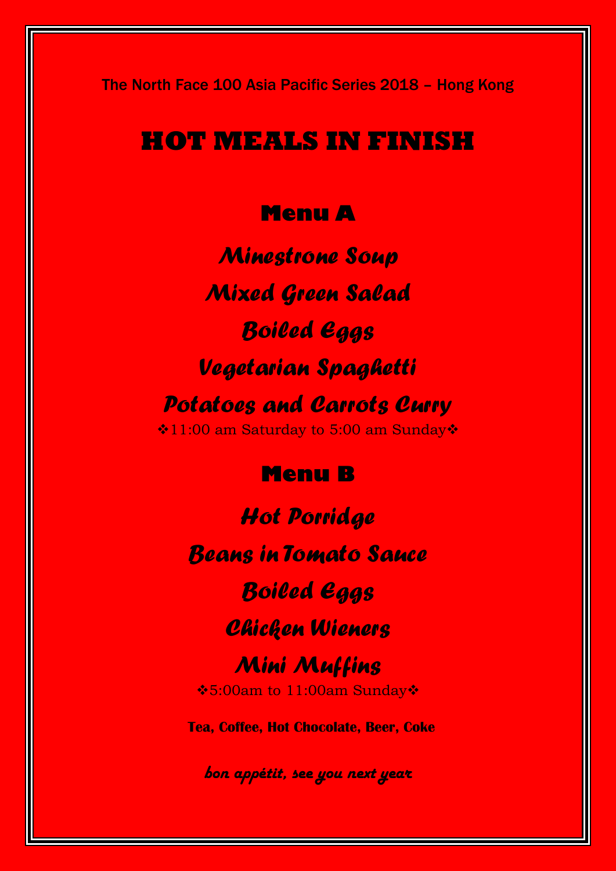The North Face 100 Asia Pacific Series 2018 – Hong Kong

# **HOT MEALS IN FINISH**

### **Menu A**

*Minestrone Soup Mixed Green Salad Boiled Eggs Vegetarian Spaghetti Potatoes and Carrots Curry* **\*11:00 am Saturday to 5:00 am Sunday\*** 

#### **Menu B**

*Hot Porridge Beans in Tomato Sauce Boiled Eggs Chicken Wieners Mini Muffins* 5:00am to 11:00am Sunday **Tea, Coffee, Hot Chocolate, Beer, Coke**

*bon appétit, see you next year*